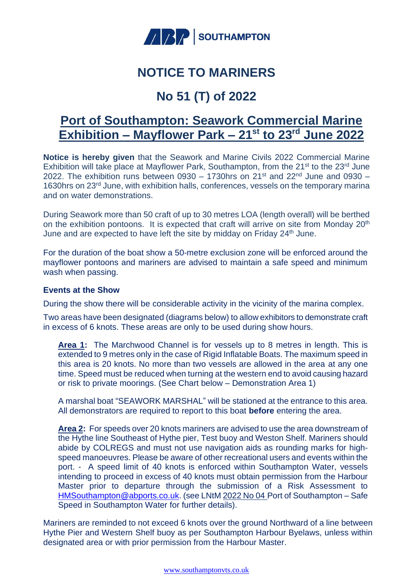

## **NOTICE TO MARINERS**

# **No 51 (T) of 2022**

### **Port of Southampton: Seawork Commercial Marine Exhibition – Mayflower Park – 21st to 23rd June 2022**

**Notice is hereby given** that the Seawork and Marine Civils 2022 Commercial Marine Exhibition will take place at Mayflower Park, Southampton, from the 21<sup>st</sup> to the 23<sup>rd</sup> June 2022. The exhibition runs between 0930 – 1730hrs on  $21^{st}$  and  $22^{nd}$  June and 0930 – 1630hrs on 23rd June, with exhibition halls, conferences, vessels on the temporary marina and on water demonstrations.

During Seawork more than 50 craft of up to 30 metres LOA (length overall) will be berthed on the exhibition pontoons. It is expected that craft will arrive on site from Monday 20<sup>th</sup> June and are expected to have left the site by midday on Friday 24<sup>th</sup> June.

For the duration of the boat show a 50-metre exclusion zone will be enforced around the mayflower pontoons and mariners are advised to maintain a safe speed and minimum wash when passing.

#### **Events at the Show**

During the show there will be considerable activity in the vicinity of the marina complex.

Two areas have been designated (diagrams below) to allow exhibitors to demonstrate craft in excess of 6 knots. These areas are only to be used during show hours.

**Area 1:** The Marchwood Channel is for vessels up to 8 metres in length. This is extended to 9 metres only in the case of Rigid Inflatable Boats. The maximum speed in this area is 20 knots. No more than two vessels are allowed in the area at any one time. Speed must be reduced when turning at the western end to avoid causing hazard or risk to private moorings. (See Chart below – Demonstration Area 1)

A marshal boat "SEAWORK MARSHAL" will be stationed at the entrance to this area. All demonstrators are required to report to this boat **before** entering the area.

**Area 2:** For speeds over 20 knots mariners are advised to use the area downstream of the Hythe line Southeast of Hythe pier, Test buoy and Weston Shelf. Mariners should abide by COLREGS and must not use navigation aids as rounding marks for highspeed manoeuvres. Please be aware of other recreational users and events within the port. - A speed limit of 40 knots is enforced within Southampton Water, vessels intending to proceed in excess of 40 knots must obtain permission from the Harbour Master prior to departure through the submission of a Risk Assessment to [HMSouthampton@abports.co.uk.](mailto:HMSouthampton@abports.co.uk) (see LNtM 2022 [No 04](https://www.southamptonvts.co.uk/admin/content/files/NTMs/2021/2021%20No%2004%20Port%20of%20Southampton%20%E2%80%93Safe%20speed%20in%20Southampton%20Water.pdf) Port of Southampton – Safe Speed in Southampton Water for further details).

Mariners are reminded to not exceed 6 knots over the ground Northward of a line between Hythe Pier and Western Shelf buoy as per Southampton Harbour Byelaws, unless within designated area or with prior permission from the Harbour Master.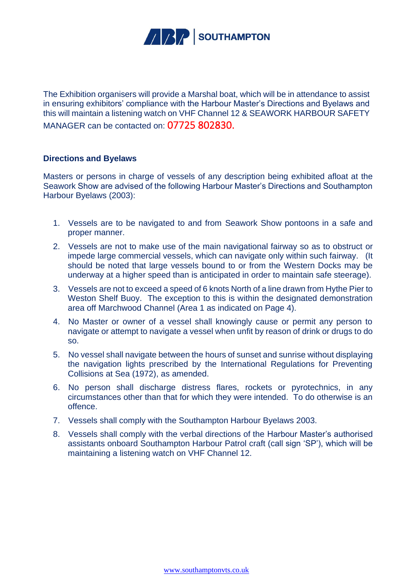

The Exhibition organisers will provide a Marshal boat, which will be in attendance to assist in ensuring exhibitors' compliance with the Harbour Master's Directions and Byelaws and this will maintain a listening watch on VHF Channel 12 & SEAWORK HARBOUR SAFETY MANAGER can be contacted on: 07725 802830.

#### **Directions and Byelaws**

Masters or persons in charge of vessels of any description being exhibited afloat at the Seawork Show are advised of the following Harbour Master's Directions and Southampton Harbour Byelaws (2003):

- 1. Vessels are to be navigated to and from Seawork Show pontoons in a safe and proper manner.
- 2. Vessels are not to make use of the main navigational fairway so as to obstruct or impede large commercial vessels, which can navigate only within such fairway. (It should be noted that large vessels bound to or from the Western Docks may be underway at a higher speed than is anticipated in order to maintain safe steerage).
- 3. Vessels are not to exceed a speed of 6 knots North of a line drawn from Hythe Pier to Weston Shelf Buoy. The exception to this is within the designated demonstration area off Marchwood Channel (Area 1 as indicated on Page 4).
- 4. No Master or owner of a vessel shall knowingly cause or permit any person to navigate or attempt to navigate a vessel when unfit by reason of drink or drugs to do so.
- 5. No vessel shall navigate between the hours of sunset and sunrise without displaying the navigation lights prescribed by the International Regulations for Preventing Collisions at Sea (1972), as amended.
- 6. No person shall discharge distress flares, rockets or pyrotechnics, in any circumstances other than that for which they were intended. To do otherwise is an offence.
- 7. Vessels shall comply with the Southampton Harbour Byelaws 2003.
- 8. Vessels shall comply with the verbal directions of the Harbour Master's authorised assistants onboard Southampton Harbour Patrol craft (call sign 'SP'), which will be maintaining a listening watch on VHF Channel 12.